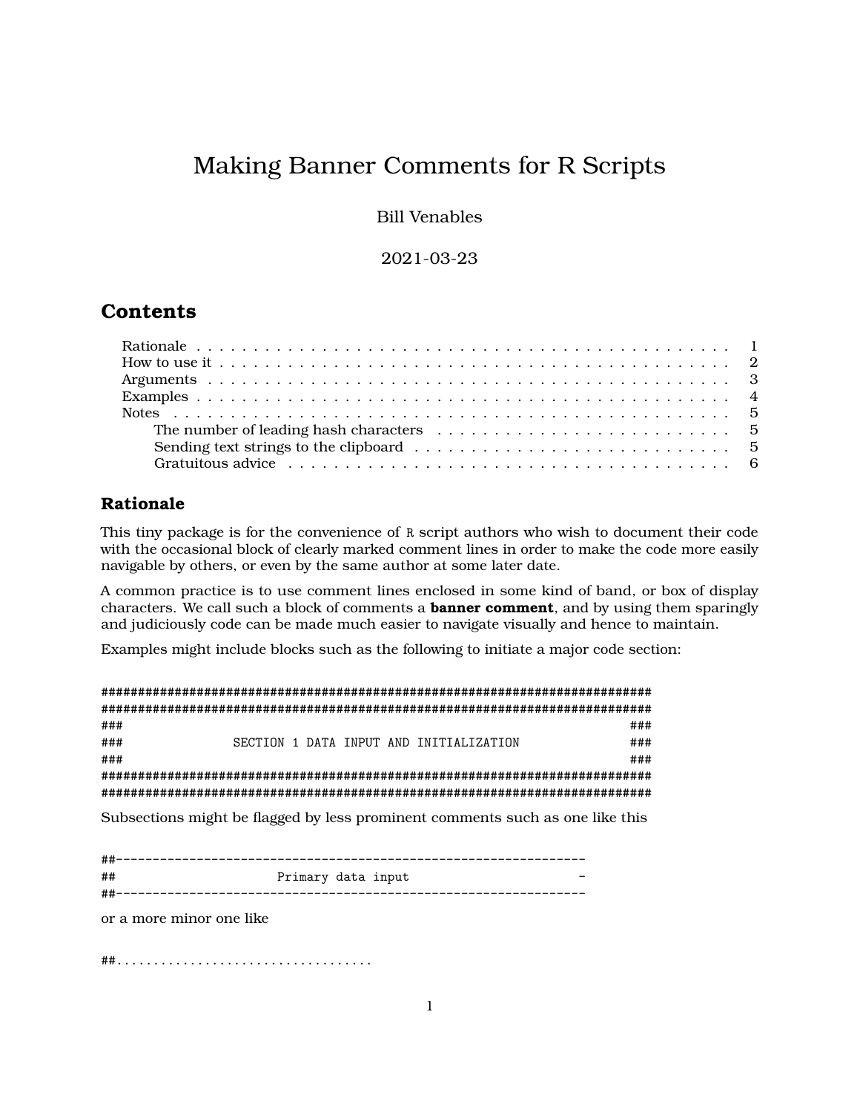# Making Banner Comments for R Scripts

Bill Venables

2021-03-23

# **Contents**

## <span id="page-0-0"></span>**Rationale**

This tiny package is for the convenience of R script authors who wish to document their code with the occasional block of clearly marked comment lines in order to make the code more easily navigable by others, or even by the same author at some later date.

A common practice is to use comment lines enclosed in some kind of band, or box of display characters. We call such a block of comments a **banner comment**, and by using them sparingly and judiciously code can be made much easier to navigate visually and hence to maintain.

Examples might include blocks such as the following to initiate a major code section:

| ### |  |  |                                         | ### |
|-----|--|--|-----------------------------------------|-----|
| ### |  |  | SECTION 1 DATA INPUT AND INITIALIZATION | ### |
| ### |  |  |                                         | ### |
|     |  |  |                                         |     |
|     |  |  |                                         |     |

Subsections might be flagged by less prominent comments such as one like this

| ## | Primary data input |  |  |  |
|----|--------------------|--|--|--|
|    |                    |  |  |  |

or a more minor one like

##...................................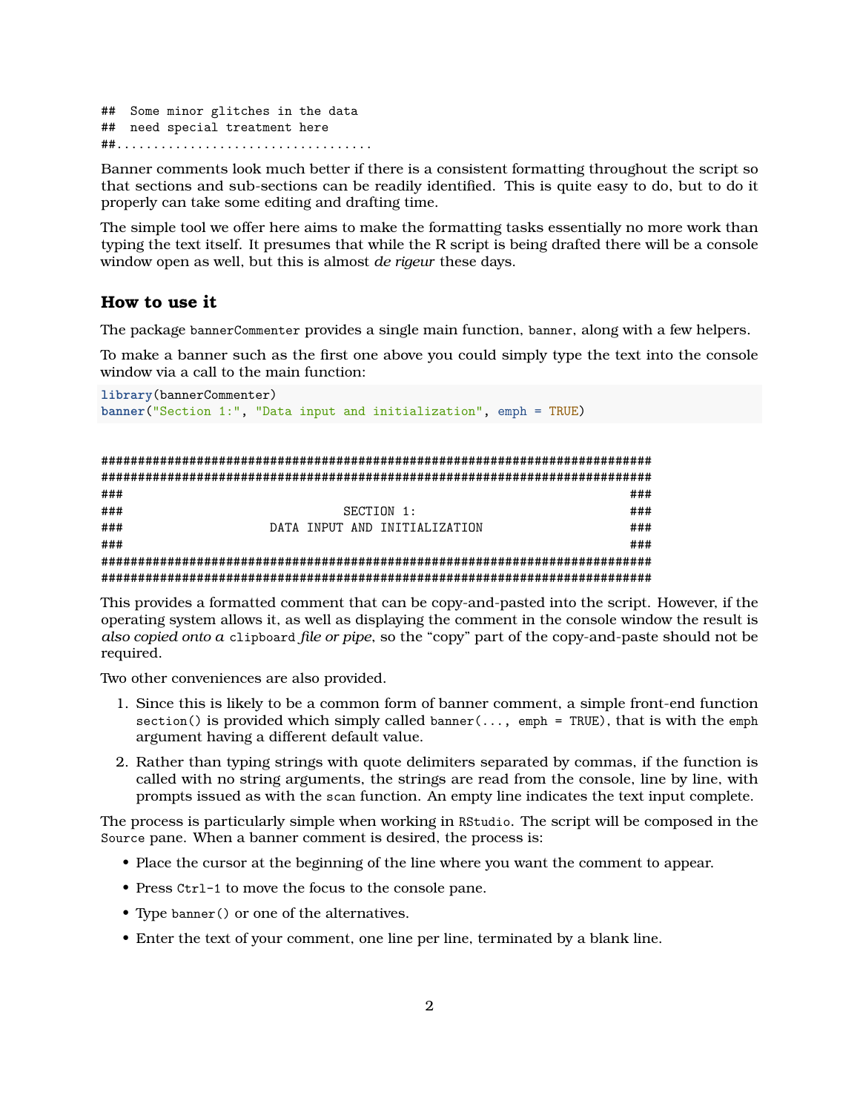## Some minor glitches in the data ## need special treatment here ##...................................

Banner comments look much better if there is a consistent formatting throughout the script so that sections and sub-sections can be readily identified. This is quite easy to do, but to do it properly can take some editing and drafting time.

The simple tool we offer here aims to make the formatting tasks essentially no more work than typing the text itself. It presumes that while the R script is being drafted there will be a console window open as well, but this is almost *de rigeur* these days.

### <span id="page-1-0"></span>**How to use it**

The package bannerCommenter provides a single main function, banner, along with a few helpers.

To make a banner such as the first one above you could simply type the text into the console window via a call to the main function:

```
library(bannerCommenter)
banner("Section 1:", "Data input and initialization", emph = TRUE)
```

| ### |                               | ### |
|-----|-------------------------------|-----|
| ### | SECTION 1:                    | ### |
| ### | DATA INPUT AND INITIALIZATION | ### |
| ### |                               | ### |
|     |                               |     |
|     |                               |     |

This provides a formatted comment that can be copy-and-pasted into the script. However, if the operating system allows it, as well as displaying the comment in the console window the result is *also copied onto a* clipboard *file or pipe*, so the "copy" part of the copy-and-paste should not be required.

Two other conveniences are also provided.

- 1. Since this is likely to be a common form of banner comment, a simple front-end function  $section()$  is provided which simply called banner(..., emph = TRUE), that is with the emph argument having a different default value.
- 2. Rather than typing strings with quote delimiters separated by commas, if the function is called with no string arguments, the strings are read from the console, line by line, with prompts issued as with the scan function. An empty line indicates the text input complete.

The process is particularly simple when working in RStudio. The script will be composed in the Source pane. When a banner comment is desired, the process is:

- Place the cursor at the beginning of the line where you want the comment to appear.
- Press Ctrl-1 to move the focus to the console pane.
- Type banner() or one of the alternatives.
- Enter the text of your comment, one line per line, terminated by a blank line.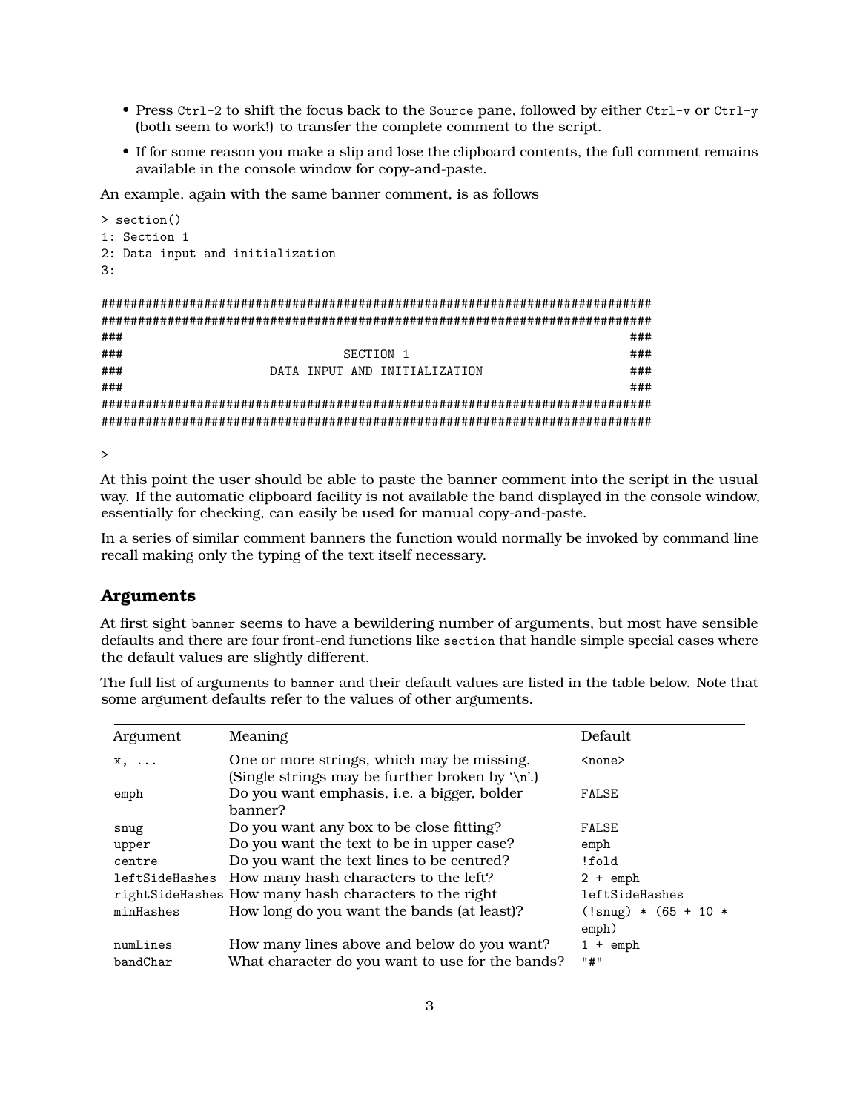- Press Ctrl-2 to shift the focus back to the Source pane, followed by either Ctrl-v or Ctrl-y (both seem to work!) to transfer the complete comment to the script.
- If for some reason you make a slip and lose the clipboard contents, the full comment remains available in the console window for copy-and-paste.

An example, again with the same banner comment, is as follows

```
> section()
1: Section 1
2: Data input and initialization
3:
###########################################################################
###########################################################################
### ###
### SECTION 1 ###
### DATA INPUT AND INITIALIZATION ###
### ###
###########################################################################
###########################################################################
```
>

At this point the user should be able to paste the banner comment into the script in the usual way. If the automatic clipboard facility is not available the band displayed in the console window, essentially for checking, can easily be used for manual copy-and-paste.

In a series of similar comment banners the function would normally be invoked by command line recall making only the typing of the text itself necessary.

#### <span id="page-2-0"></span>**Arguments**

At first sight banner seems to have a bewildering number of arguments, but most have sensible defaults and there are four front-end functions like section that handle simple special cases where the default values are slightly different.

The full list of arguments to banner and their default values are listed in the table below. Note that some argument defaults refer to the values of other arguments.

| Argument       | Meaning                                                                                        | Default.                               |
|----------------|------------------------------------------------------------------------------------------------|----------------------------------------|
| $X, \ldots$    | One or more strings, which may be missing.<br>(Single strings may be further broken by $\ln$ ) | <none></none>                          |
| emph           | Do you want emphasis, i.e. a bigger, bolder<br>banner?                                         | FALSE                                  |
| snug           | Do you want any box to be close fitting?                                                       | FALSE                                  |
| upper          | Do you want the text to be in upper case?                                                      | emph                                   |
| centre         | Do you want the text lines to be centred?                                                      | !fold                                  |
| leftSideHashes | How many hash characters to the left?                                                          | $2 + \text{emb}$                       |
|                | rightSideHashes How many hash characters to the right                                          | leftSideHashes                         |
| minHashes      | How long do you want the bands (at least)?                                                     | $(\text{lsnug}) * (65 + 10 *$<br>emph) |
| numLines       | How many lines above and below do you want?                                                    | $1 + \text{emb}$                       |
| bandChar       | What character do you want to use for the bands?                                               | "#"                                    |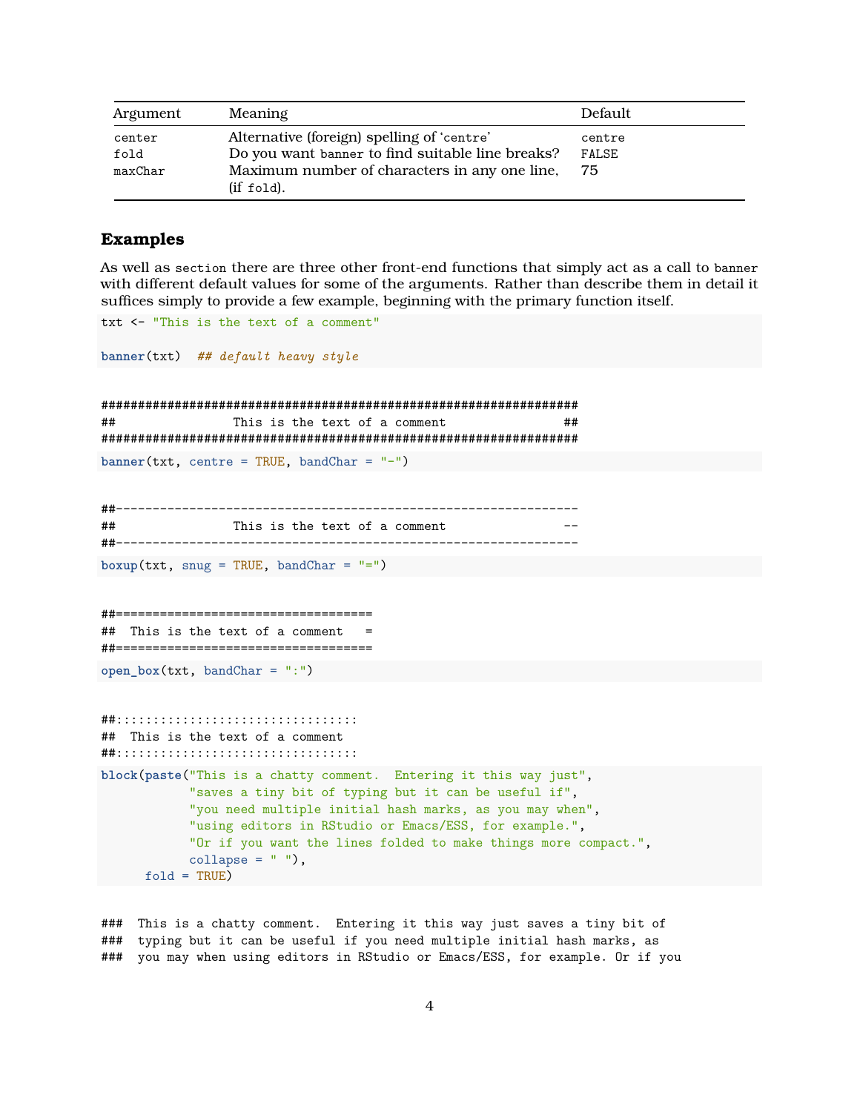| Argument                  | Meaning                                                                                                                                                     | Default.              |
|---------------------------|-------------------------------------------------------------------------------------------------------------------------------------------------------------|-----------------------|
| center<br>fold<br>maxChar | Alternative (foreign) spelling of 'centre'<br>Do you want banner to find suitable line breaks?<br>Maximum number of characters in any one line,<br>(if fol. | centre<br>FALSE<br>75 |

#### <span id="page-3-0"></span>**Examples**

As well as section there are three other front-end functions that simply act as a call to banner with different default values for some of the arguments. Rather than describe them in detail it suffices simply to provide a few example, beginning with the primary function itself.

```
txt <- "This is the text of a comment"
```

```
banner(txt) ## default heavy style
```

```
#################################################################
## This is the text of a comment \##
#################################################################
```
**banner**(txt, centre = TRUE, bandChar = "-")

```
##---------------------------------------------------------------
## This is the text of a comment
##---------------------------------------------------------------
```

```
boxup(txt, snug = TRUE, bandChar = "="")
```
##=================================== ## This is the text of a comment = ##===================================

**open\_box**(txt, bandChar = ":")

```
##:::::::::::::::::::::::::::::::::
## This is the text of a comment
##:::::::::::::::::::::::::::::::::
```

```
block(paste("This is a chatty comment. Entering it this way just",
            "saves a tiny bit of typing but it can be useful if",
            "you need multiple initial hash marks, as you may when",
            "using editors in RStudio or Emacs/ESS, for example.",
            "Or if you want the lines folded to make things more compact.",
            collapse = " ",
     fold = TRUE)
```
### This is a chatty comment. Entering it this way just saves a tiny bit of ### typing but it can be useful if you need multiple initial hash marks, as ### you may when using editors in RStudio or Emacs/ESS, for example. Or if you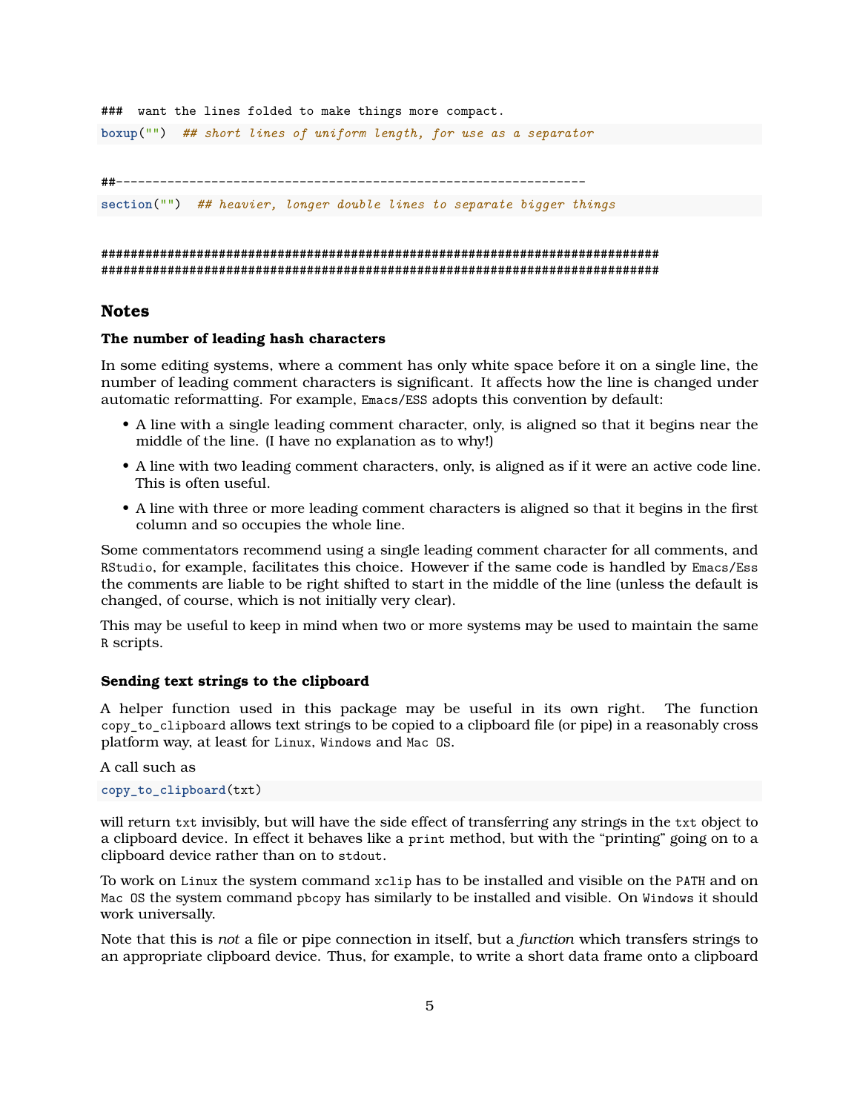```
### want the lines folded to make things more compact.
boxup("") ## short lines of uniform length, for use as a separator
##----------------------------------------------------------------
section("") ## heavier, longer double lines to separate bigger things
############################################################################
############################################################################
```
#### <span id="page-4-0"></span>**Notes**

#### <span id="page-4-1"></span>**The number of leading hash characters**

In some editing systems, where a comment has only white space before it on a single line, the number of leading comment characters is significant. It affects how the line is changed under automatic reformatting. For example, Emacs/ESS adopts this convention by default:

- A line with a single leading comment character, only, is aligned so that it begins near the middle of the line. (I have no explanation as to why!)
- A line with two leading comment characters, only, is aligned as if it were an active code line. This is often useful.
- A line with three or more leading comment characters is aligned so that it begins in the first column and so occupies the whole line.

Some commentators recommend using a single leading comment character for all comments, and RStudio, for example, facilitates this choice. However if the same code is handled by Emacs/Ess the comments are liable to be right shifted to start in the middle of the line (unless the default is changed, of course, which is not initially very clear).

This may be useful to keep in mind when two or more systems may be used to maintain the same R scripts.

#### <span id="page-4-2"></span>**Sending text strings to the clipboard**

A helper function used in this package may be useful in its own right. The function copy\_to\_clipboard allows text strings to be copied to a clipboard file (or pipe) in a reasonably cross platform way, at least for Linux, Windows and Mac OS.

A call such as

```
copy_to_clipboard(txt)
```
will return txt invisibly, but will have the side effect of transferring any strings in the txt object to a clipboard device. In effect it behaves like a print method, but with the "printing" going on to a clipboard device rather than on to stdout.

To work on Linux the system command xclip has to be installed and visible on the PATH and on Mac OS the system command pbcopy has similarly to be installed and visible. On Windows it should work universally.

Note that this is *not* a file or pipe connection in itself, but a *function* which transfers strings to an appropriate clipboard device. Thus, for example, to write a short data frame onto a clipboard